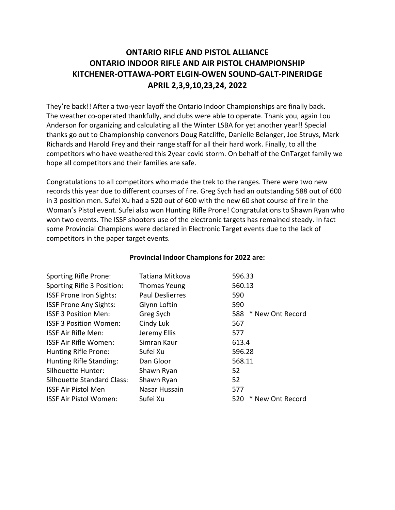# **ONTARIO RIFLE AND PISTOL ALLIANCE ONTARIO INDOOR RIFLE AND AIR PISTOL CHAMPIONSHIP KITCHENER-OTTAWA-PORT ELGIN-OWEN SOUND-GALT-PINERIDGE APRIL 2,3,9,10,23,24, 2022**

They're back!! After a two-year layoff the Ontario Indoor Championships are finally back. The weather co-operated thankfully, and clubs were able to operate. Thank you, again Lou Anderson for organizing and calculating all the Winter LSBA for yet another year!! Special thanks go out to Championship convenors Doug Ratcliffe, Danielle Belanger, Joe Struys, Mark Richards and Harold Frey and their range staff for all their hard work. Finally, to all the competitors who have weathered this 2year covid storm. On behalf of the OnTarget family we hope all competitors and their families are safe.

Congratulations to all competitors who made the trek to the ranges. There were two new records this year due to different courses of fire. Greg Sych had an outstanding 588 out of 600 in 3 position men. Sufei Xu had a 520 out of 600 with the new 60 shot course of fire in the Woman's Pistol event. Sufei also won Hunting Rifle Prone! Congratulations to Shawn Ryan who won two events. The ISSF shooters use of the electronic targets has remained steady. In fact some Provincial Champions were declared in Electronic Target events due to the lack of competitors in the paper target events.

| Tatiana Mitkova        | 596.33                  |
|------------------------|-------------------------|
| <b>Thomas Yeung</b>    | 560.13                  |
| <b>Paul Deslierres</b> | 590                     |
| Glynn Loftin           | 590                     |
| Greg Sych              | 588 * New Ont Record    |
| Cindy Luk              | 567                     |
| Jeremy Ellis           | 577                     |
| Simran Kaur            | 613.4                   |
| Sufei Xu               | 596.28                  |
| Dan Gloor              | 568.11                  |
| Shawn Ryan             | 52                      |
| Shawn Ryan             | 52                      |
| Nasar Hussain          | 577                     |
| Sufei Xu               | * New Ont Record<br>520 |
|                        |                         |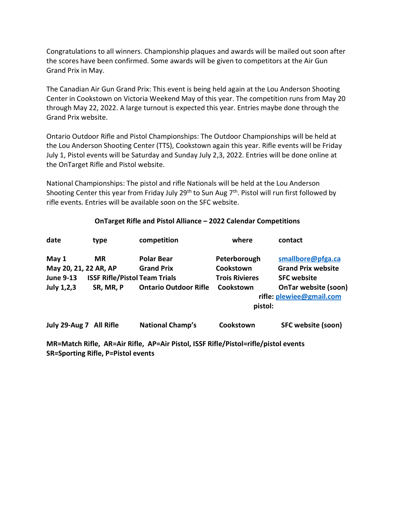Congratulations to all winners. Championship plaques and awards will be mailed out soon after the scores have been confirmed. Some awards will be given to competitors at the Air Gun Grand Prix in May.

The Canadian Air Gun Grand Prix: This event is being held again at the Lou Anderson Shooting Center in Cookstown on Victoria Weekend May of this year. The competition runs from May 20 through May 22, 2022. A large turnout is expected this year. Entries maybe done through the Grand Prix website.

Ontario Outdoor Rifle and Pistol Championships: The Outdoor Championships will be held at the Lou Anderson Shooting Center (TTS), Cookstown again this year. Rifle events will be Friday July 1, Pistol events will be Saturday and Sunday July 2,3, 2022. Entries will be done online at the OnTarget Rifle and Pistol website.

National Championships: The pistol and rifle Nationals will be held at the Lou Anderson Shooting Center this year from Friday July 29<sup>th</sup> to Sun Aug 7<sup>th</sup>. Pistol will run first followed by rifle events. Entries will be available soon on the SFC website.

#### **OnTarget Rifle and Pistol Alliance – 2022 Calendar Competitions**

| date                  | type                                 | competition                                                                                                                                                                                                                                                                                                                                                                    | where                 | contact                     |
|-----------------------|--------------------------------------|--------------------------------------------------------------------------------------------------------------------------------------------------------------------------------------------------------------------------------------------------------------------------------------------------------------------------------------------------------------------------------|-----------------------|-----------------------------|
| May 1                 | <b>MR</b>                            | <b>Polar Bear</b>                                                                                                                                                                                                                                                                                                                                                              | Peterborough          | smallbore@pfga.ca           |
| May 20, 21, 22 AR, AP |                                      | <b>Grand Prix</b>                                                                                                                                                                                                                                                                                                                                                              | Cookstown             | <b>Grand Prix website</b>   |
| <b>June 9-13</b>      | <b>ISSF Rifle/Pistol Team Trials</b> |                                                                                                                                                                                                                                                                                                                                                                                | <b>Trois Rivieres</b> | <b>SFC website</b>          |
| July 1,2,3            | SR, MR, P                            | <b>Ontario Outdoor Rifle</b>                                                                                                                                                                                                                                                                                                                                                   | Cookstown             | <b>OnTar website (soon)</b> |
|                       |                                      |                                                                                                                                                                                                                                                                                                                                                                                |                       | rifle: plewiee@gmail.com    |
|                       |                                      |                                                                                                                                                                                                                                                                                                                                                                                | pistol:               |                             |
|                       | July 29-Aug 7 All Rifle              | <b>National Champ's</b>                                                                                                                                                                                                                                                                                                                                                        | Cookstown             | SFC website (soon)          |
|                       |                                      | $\mathbf{A} \cap \mathbf{A}$ , $\mathbf{A} \cap \mathbf{A}$ , $\mathbf{A} \cap \mathbf{A}$ , $\mathbf{A} \cap \mathbf{A}$ , $\mathbf{A} \cap \mathbf{A}$ , $\mathbf{A} \cap \mathbf{A}$ , $\mathbf{A} \cap \mathbf{A}$ , $\mathbf{A} \cap \mathbf{A}$ , $\mathbf{A} \cap \mathbf{A}$ , $\mathbf{A} \cap \mathbf{A}$ , $\mathbf{A} \cap \mathbf{A}$ , $\mathbf{A} \cap \mathbf$ |                       |                             |

**MR=Match Rifle, AR=Air Rifle, AP=Air Pistol, ISSF Rifle/Pistol=rifle/pistol events SR=Sporting Rifle, P=Pistol events**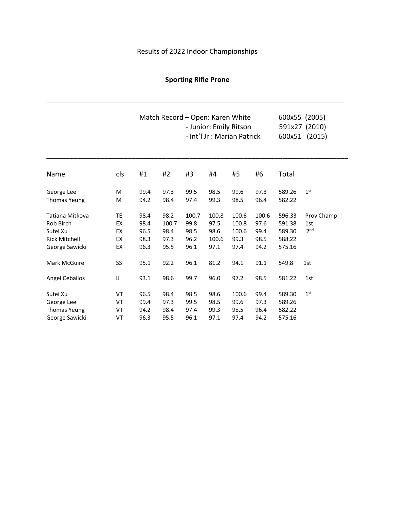# Results of 2022 Indoor Championships

# **Sporting Rifle Prone**

\_\_\_\_\_\_\_\_\_\_\_\_\_\_\_\_\_\_\_\_\_\_\_\_\_\_\_\_\_\_\_\_\_\_\_\_\_\_\_\_\_\_\_\_\_\_\_\_\_\_\_\_\_\_\_\_\_\_\_\_\_\_\_\_\_\_\_\_\_\_\_\_\_\_\_\_\_

|                       |     |      | Match Record - Open: Karen White | - Junior: Emily Ritson<br>- Int'l Jr : Marian Patrick | 600x55 (2005)<br>591x27 (2010)<br>600x51 (2015) |       |       |        |                 |
|-----------------------|-----|------|----------------------------------|-------------------------------------------------------|-------------------------------------------------|-------|-------|--------|-----------------|
| Name                  | cls | #1   | #2                               | #3                                                    | #4                                              | #5    | #6    | Total  |                 |
| George Lee            | M   | 99.4 | 97.3                             | 99.5                                                  | 98.5                                            | 99.6  | 97.3  | 589.26 | 1 <sup>st</sup> |
| <b>Thomas Yeung</b>   | M   | 94.2 | 98.4                             | 97.4                                                  | 99.3                                            | 98.5  | 96.4  | 582.22 |                 |
| Tatiana Mitkova       | TE  | 98.4 | 98.2                             | 100.7                                                 | 100.8                                           | 100.6 | 100.6 | 596.33 | Prov Champ      |
| Rob Birch             | EX  | 98.4 | 100.7                            | 99.8                                                  | 97.5                                            | 100.8 | 97.6  | 591.38 | 1st             |
| Sufei Xu              | EX  | 96.5 | 98.4                             | 98.5                                                  | 98.6                                            | 100.6 | 99.4  | 589.30 | 2 <sub>nd</sub> |
| <b>Rick Mitchell</b>  | EX  | 98.3 | 97.3                             | 96.2                                                  | 100.6                                           | 99.3  | 98.5  | 588.22 |                 |
| George Sawicki        | EX  | 96.3 | 95.5                             | 96.1                                                  | 97.1                                            | 97.4  | 94.2  | 575.16 |                 |
| <b>Mark McGuire</b>   | SS  | 95.1 | 92.2                             | 96.1                                                  | 81.2                                            | 94.1  | 91.1  | 549.8  | 1st             |
| <b>Angel Ceballos</b> | IJ  | 93.1 | 98.6                             | 99.7                                                  | 96.0                                            | 97.2  | 98.5  | 581.22 | 1st             |
| Sufei Xu              | VT  | 96.5 | 98.4                             | 98.5                                                  | 98.6                                            | 100.6 | 99.4  | 589.30 | 1 <sup>st</sup> |
| George Lee            | VT  | 99.4 | 97.3                             | 99.5                                                  | 98.5                                            | 99.6  | 97.3  | 589.26 |                 |
| <b>Thomas Yeung</b>   | VT  | 94.2 | 98.4                             | 97.4                                                  | 99.3                                            | 98.5  | 96.4  | 582.22 |                 |
| George Sawicki        | VT  | 96.3 | 95.5                             | 96.1                                                  | 97.1                                            | 97.4  | 94.2  | 575.16 |                 |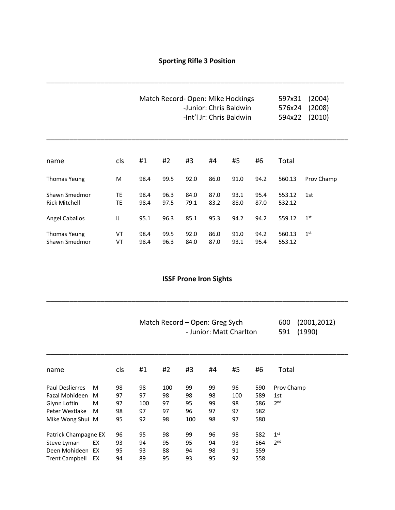\_\_\_\_\_\_\_\_\_\_\_\_\_\_\_\_\_\_\_\_\_\_\_\_\_\_\_\_\_\_\_\_\_\_\_\_\_\_\_\_\_\_\_\_\_\_\_\_\_\_\_\_\_\_\_\_\_\_\_\_\_\_\_\_\_\_\_\_\_\_\_\_\_\_\_\_\_

|                                       |          |              |              | Match Record-Open: Mike Hockings<br>-Junior: Chris Baldwin<br>-Int'l Jr: Chris Baldwin | 597x31<br>576x24<br>594x22 | (2004)<br>(2008)<br>(2010) |              |                  |                 |
|---------------------------------------|----------|--------------|--------------|----------------------------------------------------------------------------------------|----------------------------|----------------------------|--------------|------------------|-----------------|
|                                       |          |              |              |                                                                                        |                            |                            |              |                  |                 |
| name                                  | cls      | #1           | #2           | #3                                                                                     | #4                         | #5                         | #6           | Total            |                 |
| <b>Thomas Yeung</b>                   | M        | 98.4         | 99.5         | 92.0                                                                                   | 86.0                       | 91.0                       | 94.2         | 560.13           | Prov Champ      |
| Shawn Smedmor<br><b>Rick Mitchell</b> | ТE<br>ТE | 98.4<br>98.4 | 96.3<br>97.5 | 84.0<br>79.1                                                                           | 87.0<br>83.2               | 93.1<br>88.0               | 95.4<br>87.0 | 553.12<br>532.12 | 1st             |
| <b>Angel Caballos</b>                 | IJ       | 95.1         | 96.3         | 85.1                                                                                   | 95.3                       | 94.2                       | 94.2         | 559.12           | 1 <sup>st</sup> |
| Thomas Yeung<br>Shawn Smedmor         | VT<br>VT | 98.4<br>98.4 | 99.5<br>96.3 | 92.0<br>84.0                                                                           | 86.0<br>87.0               | 91.0<br>93.1               | 94.2<br>95.4 | 560.13<br>553.12 | $1^{\rm st}$    |

### **ISSF Prone Iron Sights**

\_\_\_\_\_\_\_\_\_\_\_\_\_\_\_\_\_\_\_\_\_\_\_\_\_\_\_\_\_\_\_\_\_\_\_\_\_\_\_\_\_\_\_\_\_\_\_\_\_\_\_\_\_\_\_\_\_\_\_\_\_\_\_\_\_\_\_\_\_\_\_\_\_\_\_\_\_\_

\_\_\_\_\_\_\_\_\_\_\_\_\_\_\_\_\_\_\_\_\_\_\_\_\_\_\_\_\_\_\_\_\_\_\_\_\_\_\_\_\_\_\_\_\_\_\_\_\_\_\_\_\_\_\_\_\_\_\_\_\_\_\_\_\_\_\_\_\_\_\_\_\_\_\_\_\_\_

| Match Record – Open: Greg Sych | 600 (2001,2012) |
|--------------------------------|-----------------|
| - Junior: Matt Charlton        | 591 (1990)      |

| name                   |    | cls | #1  | #2  | #3  | #4 | #5  | #6  | Total           |
|------------------------|----|-----|-----|-----|-----|----|-----|-----|-----------------|
| <b>Paul Deslierres</b> | M  | 98  | 98  | 100 | 99  | 99 | 96  | 590 | Prov Champ      |
| Fazal Mohideen         | M  | 97  | 97  | 98  | 98  | 98 | 100 | 589 | 1st             |
| Glynn Loftin           | M  | 97  | 100 | 97  | 95  | 99 | 98  | 586 | 2 <sub>nd</sub> |
| Peter Westlake         | M  | 98  | 97  | 97  | 96  | 97 | 97  | 582 |                 |
| Mike Wong Shui M       |    | 95  | 92  | 98  | 100 | 98 | 97  | 580 |                 |
| Patrick Champagne EX   |    | 96  | 95  | 98  | 99  | 96 | 98  | 582 | 1 <sup>st</sup> |
| Steve Lyman            | EX | 93  | 94  | 95  | 95  | 94 | 93  | 564 | 2 <sub>nd</sub> |
| Deen Mohideen EX       |    | 95  | 93  | 88  | 94  | 98 | 91  | 559 |                 |
| <b>Trent Campbell</b>  | EX | 94  | 89  | 95  | 93  | 95 | 92  | 558 |                 |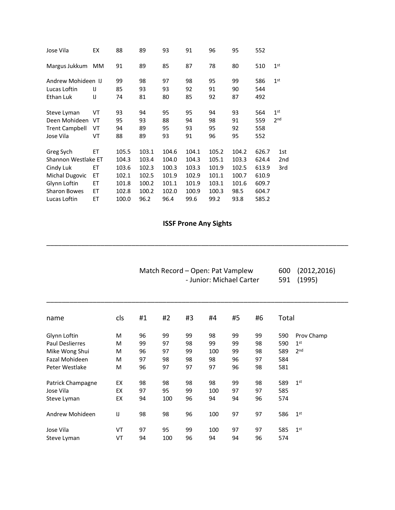| EX                  | 88    | 89    | 93    | 91    | 96    | 95    | 552   |                 |
|---------------------|-------|-------|-------|-------|-------|-------|-------|-----------------|
| MМ                  | 91    | 89    | 85    | 87    | 78    | 80    | 510   | 1 <sup>st</sup> |
| Andrew Mohideen IJ  | 99    | 98    | 97    | 98    | 95    | 99    | 586   | 1 <sup>st</sup> |
| $\Box$              | 85    | 93    | 93    | 92    | 91    | 90    | 544   |                 |
| IJ                  | 74    | 81    | 80    | 85    | 92    | 87    | 492   |                 |
| VT                  | 93    | 94    | 95    | 95    | 94    | 93    | 564   | 1 <sup>st</sup> |
| VT                  | 95    | 93    | 88    | 94    | 98    | 91    | 559   | 2 <sub>nd</sub> |
| VT                  | 94    | 89    | 95    | 93    | 95    | 92    | 558   |                 |
| VT                  | 88    | 89    | 93    | 91    | 96    | 95    | 552   |                 |
| EТ                  | 105.5 | 103.1 | 104.6 | 104.1 | 105.2 | 104.2 | 626.7 | 1st             |
| Shannon Westlake ET | 104.3 | 103.4 | 104.0 | 104.3 | 105.1 | 103.3 | 624.4 | 2nd             |
| EТ                  | 103.6 | 102.3 | 100.3 | 103.3 | 101.9 | 102.5 | 613.9 | 3rd             |
| ET                  | 102.1 | 102.5 | 101.9 | 102.9 | 101.1 | 100.7 | 610.9 |                 |
| ЕT                  | 101.8 | 100.2 | 101.1 | 101.9 | 103.1 | 101.6 | 609.7 |                 |
| ET                  | 102.8 | 100.2 | 102.0 | 100.9 | 100.3 | 98.5  | 604.7 |                 |
| ЕT                  | 100.0 | 96.2  | 96.4  | 99.6  | 99.2  | 93.8  | 585.2 |                 |
|                     |       |       |       |       |       |       |       |                 |

# **ISSF Prone Any Sights**

\_\_\_\_\_\_\_\_\_\_\_\_\_\_\_\_\_\_\_\_\_\_\_\_\_\_\_\_\_\_\_\_\_\_\_\_\_\_\_\_\_\_\_\_\_\_\_\_\_\_\_\_\_\_\_\_\_\_\_\_\_\_\_\_\_\_\_\_\_\_\_\_\_\_\_\_\_\_

|                       |     |    | Match Record – Open: Pat Vamplew | 600<br>591 | (2012, 2016)<br>(1995) |    |    |       |                 |
|-----------------------|-----|----|----------------------------------|------------|------------------------|----|----|-------|-----------------|
| name                  | cls | #1 | #2                               | #3         | #4                     | #5 | #6 | Total |                 |
| Glynn Loftin          | М   | 96 | 99                               | 99         | 98                     | 99 | 99 | 590   | Prov Champ      |
| Paul Deslierres       | M   | 99 | 97                               | 98         | 99                     | 99 | 98 | 590   | 1 <sup>st</sup> |
| Mike Wong Shui        | М   | 96 | 97                               | 99         | 100                    | 99 | 98 | 589   | 2 <sub>nd</sub> |
| <b>Fazal Mohideen</b> | M   | 97 | 98                               | 98         | 98                     | 96 | 97 | 584   |                 |
| Peter Westlake        | M   | 96 | 97                               | 97         | 97                     | 96 | 98 | 581   |                 |
| Patrick Champagne     | EX  | 98 | 98                               | 98         | 98                     | 99 | 98 | 589   | 1 <sup>st</sup> |
| Jose Vila             | EX  | 97 | 95                               | 99         | 100                    | 97 | 97 | 585   |                 |
| Steve Lyman           | EX  | 94 | 100                              | 96         | 94                     | 94 | 96 | 574   |                 |
| Andrew Mohideen       | IJ  | 98 | 98                               | 96         | 100                    | 97 | 97 | 586   | 1 <sup>st</sup> |
| Jose Vila             | VT  | 97 | 95                               | 99         | 100                    | 97 | 97 | 585   | 1 <sup>st</sup> |
| Steve Lyman           | VT  | 94 | 100                              | 96         | 94                     | 94 | 96 | 574   |                 |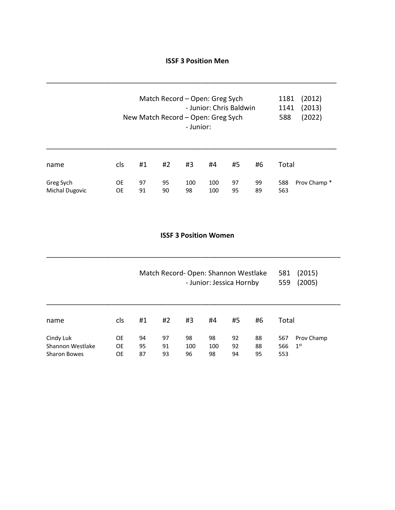#### **ISSF 3 Position Men**

\_\_\_\_\_\_\_\_\_\_\_\_\_\_\_\_\_\_\_\_\_\_\_\_\_\_\_\_\_\_\_\_\_\_\_\_\_\_\_\_\_\_\_\_\_\_\_\_\_\_\_\_\_\_\_\_\_\_\_\_\_\_\_\_\_\_\_\_\_\_\_\_\_\_\_

| Match Record - Open: Greg Sych<br>- Junior: Chris Baldwin<br>New Match Record - Open: Greg Sych<br>- Junior: |                        |          |          |           |            |          |          | 1181<br>1141<br>588 | (2012)<br>(2013)<br>(2022) |
|--------------------------------------------------------------------------------------------------------------|------------------------|----------|----------|-----------|------------|----------|----------|---------------------|----------------------------|
| name                                                                                                         | <b>cls</b>             | #1       | #2       | #3        | #4         | #5       | #6       | Total               |                            |
| Greg Sych<br><b>Michal Dugovic</b>                                                                           | <b>OE</b><br><b>OE</b> | 97<br>91 | 95<br>90 | 100<br>98 | 100<br>100 | 97<br>95 | 99<br>89 | 588<br>563          | Prov Champ*                |

### **ISSF 3 Position Women**

\_\_\_\_\_\_\_\_\_\_\_\_\_\_\_\_\_\_\_\_\_\_\_\_\_\_\_\_\_\_\_\_\_\_\_\_\_\_\_\_\_\_\_\_\_\_\_\_\_\_\_\_\_\_\_\_\_\_\_\_\_\_\_\_\_\_\_\_\_\_\_\_\_\_\_\_

|                                                      |                       |                |                |                 |                 | Match Record-Open: Shannon Westlake<br>- Junior: Jessica Hornby |                | (2015)<br>581<br>(2005)<br>559 |                               |  |
|------------------------------------------------------|-----------------------|----------------|----------------|-----------------|-----------------|-----------------------------------------------------------------|----------------|--------------------------------|-------------------------------|--|
| name                                                 | cls                   | #1             | #2             | #3              | #4              | #5                                                              | #6             | Total                          |                               |  |
| Cindy Luk<br>Shannon Westlake<br><b>Sharon Bowes</b> | OE<br><b>OE</b><br>OE | 94<br>95<br>87 | 97<br>91<br>93 | 98<br>100<br>96 | 98<br>100<br>98 | 92<br>92<br>94                                                  | 88<br>88<br>95 | 567<br>566<br>553              | Prov Champ<br>1 <sup>st</sup> |  |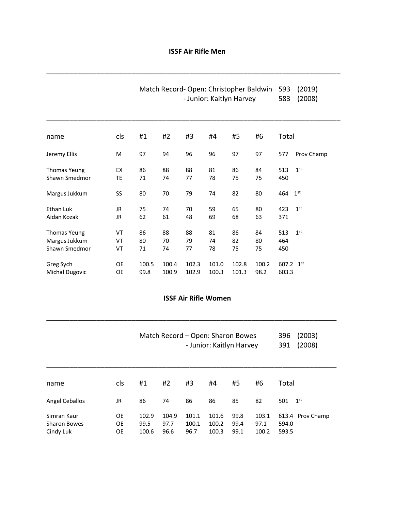### **ISSF Air Rifle Men**

\_\_\_\_\_\_\_\_\_\_\_\_\_\_\_\_\_\_\_\_\_\_\_\_\_\_\_\_\_\_\_\_\_\_\_\_\_\_\_\_\_\_\_\_\_\_\_\_\_\_\_\_\_\_\_\_\_\_\_\_\_\_\_\_\_\_\_\_\_\_\_\_\_\_\_\_

|                       | Match Record-Open: Christopher Baldwin<br>593<br>(2019)<br>583<br>- Junior: Kaitlyn Harvey<br>(2008) |       |       |       |       |       |       |       |                 |  |
|-----------------------|------------------------------------------------------------------------------------------------------|-------|-------|-------|-------|-------|-------|-------|-----------------|--|
| name                  | cls                                                                                                  | #1    | #2    | #3    | #4    | #5    | #6    | Total |                 |  |
| Jeremy Ellis          | M                                                                                                    | 97    | 94    | 96    | 96    | 97    | 97    | 577   | Prov Champ      |  |
| <b>Thomas Yeung</b>   | EX                                                                                                   | 86    | 88    | 88    | 81    | 86    | 84    | 513   | 1 <sup>st</sup> |  |
| Shawn Smedmor         | TE                                                                                                   | 71    | 74    | 77    | 78    | 75    | 75    | 450   |                 |  |
| Margus Jukkum         | SS                                                                                                   | 80    | 70    | 79    | 74    | 82    | 80    | 464   | 1 <sup>st</sup> |  |
| Ethan Luk             | JR                                                                                                   | 75    | 74    | 70    | 59    | 65    | 80    | 423   | 1 <sup>st</sup> |  |
| Aidan Kozak           | JR                                                                                                   | 62    | 61    | 48    | 69    | 68    | 63    | 371   |                 |  |
| <b>Thomas Yeung</b>   | VT                                                                                                   | 86    | 88    | 88    | 81    | 86    | 84    | 513   | 1 <sup>st</sup> |  |
| Margus Jukkum         | VT                                                                                                   | 80    | 70    | 79    | 74    | 82    | 80    | 464   |                 |  |
| Shawn Smedmor         | VT                                                                                                   | 71    | 74    | 77    | 78    | 75    | 75    | 450   |                 |  |
| Greg Sych             | OE                                                                                                   | 100.5 | 100.4 | 102.3 | 101.0 | 102.8 | 100.2 | 607.2 | 1 <sup>st</sup> |  |
| <b>Michal Dugovic</b> | <b>OE</b>                                                                                            | 99.8  | 100.9 | 102.9 | 100.3 | 101.3 | 98.2  | 603.3 |                 |  |

### **ISSF Air Rifle Women**

\_\_\_\_\_\_\_\_\_\_\_\_\_\_\_\_\_\_\_\_\_\_\_\_\_\_\_\_\_\_\_\_\_\_\_\_\_\_\_\_\_\_\_\_\_\_\_\_\_\_\_\_\_\_\_\_\_\_\_\_\_\_\_\_\_\_\_\_\_\_\_\_\_\_\_

|                                                 |                       | Match Record - Open: Sharon Bowes<br>- Junior: Kaitlyn Harvey |                       |                        |                         |                      |                        | (2003)<br>396<br>(2008)<br>391     |
|-------------------------------------------------|-----------------------|---------------------------------------------------------------|-----------------------|------------------------|-------------------------|----------------------|------------------------|------------------------------------|
| name                                            | cls                   | #1                                                            | #2                    | #3                     | #4                      | #5                   | #6                     | Total                              |
| <b>Angel Ceballos</b>                           | JR                    | 86                                                            | 74                    | 86                     | 86                      | 85                   | 82                     | 1 <sup>st</sup><br>501             |
| Simran Kaur<br><b>Sharon Bowes</b><br>Cindy Luk | <b>OE</b><br>OE<br>OE | 102.9<br>99.5<br>100.6                                        | 104.9<br>97.7<br>96.6 | 101.1<br>100.1<br>96.7 | 101.6<br>100.2<br>100.3 | 99.8<br>99.4<br>99.1 | 103.1<br>97.1<br>100.2 | 613.4 Prov Champ<br>594.0<br>593.5 |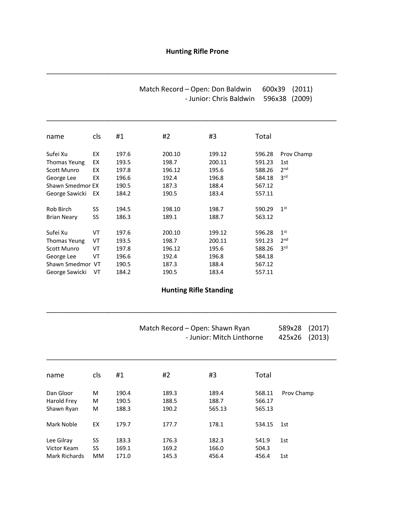# **Hunting Rifle Prone**

\_\_\_\_\_\_\_\_\_\_\_\_\_\_\_\_\_\_\_\_\_\_\_\_\_\_\_\_\_\_\_\_\_\_\_\_\_\_\_\_\_\_\_\_\_\_\_\_\_\_\_\_\_\_\_\_\_\_\_\_\_\_\_\_\_\_\_\_\_\_\_\_\_\_\_

\_\_\_\_\_\_\_\_\_\_\_\_\_\_\_\_\_\_\_\_\_\_\_\_\_\_\_\_\_\_\_\_\_\_\_\_\_\_\_\_\_\_\_\_\_\_\_\_\_\_\_\_\_\_\_\_\_\_\_\_\_\_\_\_\_\_\_\_\_\_\_\_\_\_\_

| Match Record – Open: Don Baldwin | 600x39 (2011) |  |
|----------------------------------|---------------|--|
| - Junior: Chris Baldwin          | 596x38 (2009) |  |

| name               | cls | #1    | #2     | #3     | Total  |                 |
|--------------------|-----|-------|--------|--------|--------|-----------------|
| Sufei Xu           | EX  | 197.6 | 200.10 | 199.12 | 596.28 | Prov Champ      |
| Thomas Yeung       | EX  | 193.5 | 198.7  | 200.11 | 591.23 | 1st             |
| <b>Scott Munro</b> | EX  | 197.8 | 196.12 | 195.6  | 588.26 | 2 <sub>nd</sub> |
| George Lee         | EX  | 196.6 | 192.4  | 196.8  | 584.18 | 3 <sup>rd</sup> |
| Shawn Smedmor EX   |     | 190.5 | 187.3  | 188.4  | 567.12 |                 |
| George Sawicki     | EX  | 184.2 | 190.5  | 183.4  | 557.11 |                 |
| Rob Birch          | SS  | 194.5 | 198.10 | 198.7  | 590.29 | 1 <sup>st</sup> |
| <b>Brian Neary</b> | SS  | 186.3 | 189.1  | 188.7  | 563.12 |                 |
| Sufei Xu           | VT  | 197.6 | 200.10 | 199.12 | 596.28 | 1 <sup>st</sup> |
| Thomas Yeung       | VT  | 193.5 | 198.7  | 200.11 | 591.23 | 2 <sub>nd</sub> |
| <b>Scott Munro</b> | VT  | 197.8 | 196.12 | 195.6  | 588.26 | 3 <sup>rd</sup> |
| George Lee         | VT  | 196.6 | 192.4  | 196.8  | 584.18 |                 |
| Shawn Smedmor VT   |     | 190.5 | 187.3  | 188.4  | 567.12 |                 |
| George Sawicki     | VT  | 184.2 | 190.5  | 183.4  | 557.11 |                 |

### **Hunting Rifle Standing**

\_\_\_\_\_\_\_\_\_\_\_\_\_\_\_\_\_\_\_\_\_\_\_\_\_\_\_\_\_\_\_\_\_\_\_\_\_\_\_\_\_\_\_\_\_\_\_\_\_\_\_\_\_\_\_\_\_\_\_\_\_\_\_\_\_\_\_\_\_\_\_\_\_\_\_

|               |     |       |       | Match Record - Open: Shawn Ryan<br>- Junior: Mitch Linthorne |        |            |  |  |  |
|---------------|-----|-------|-------|--------------------------------------------------------------|--------|------------|--|--|--|
| name          | cls | #1    | #2    | #3                                                           | Total  |            |  |  |  |
| Dan Gloor     | M   | 190.4 | 189.3 | 189.4                                                        | 568.11 | Prov Champ |  |  |  |
| Harold Frey   | М   | 190.5 | 188.5 | 188.7                                                        | 566.17 |            |  |  |  |
| Shawn Ryan    | M   | 188.3 | 190.2 | 565.13                                                       | 565.13 |            |  |  |  |
| Mark Noble    | EX  | 179.7 | 177.7 | 178.1                                                        | 534.15 | 1st        |  |  |  |
| Lee Gilray    | SS  | 183.3 | 176.3 | 182.3                                                        | 541.9  | 1st        |  |  |  |
| Victor Keam   | SS  | 169.1 | 169.2 | 166.0                                                        | 504.3  |            |  |  |  |
| Mark Richards | МM  | 171.0 | 145.3 | 456.4                                                        | 456.4  | 1st        |  |  |  |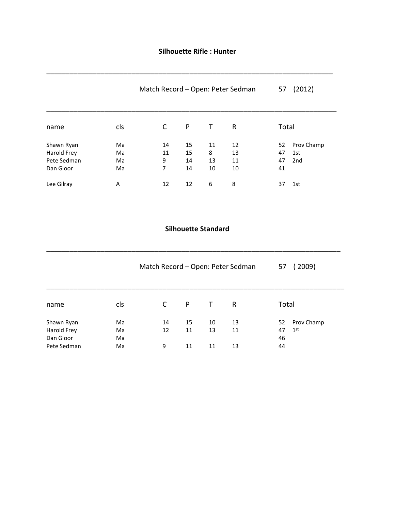### **Silhouette Rifle : Hunter**

|                                                       |                      | Match Record - Open: Peter Sedman |                      | 57                  | (2012)               |                      |                          |
|-------------------------------------------------------|----------------------|-----------------------------------|----------------------|---------------------|----------------------|----------------------|--------------------------|
| name                                                  | cls                  | C                                 | P                    | Τ                   | R                    | Total                |                          |
| Shawn Ryan<br>Harold Frey<br>Pete Sedman<br>Dan Gloor | Ma<br>Ma<br>Ma<br>Ma | 14<br>11<br>9<br>7                | 15<br>15<br>14<br>14 | 11<br>8<br>13<br>10 | 12<br>13<br>11<br>10 | 52<br>47<br>47<br>41 | Prov Champ<br>1st<br>2nd |
| Lee Gilray                                            | A                    | 12                                | 12                   | 6                   | 8                    | 37                   | 1st                      |

#### **Silhouette Standard**

\_\_\_\_\_\_\_\_\_\_\_\_\_\_\_\_\_\_\_\_\_\_\_\_\_\_\_\_\_\_\_\_\_\_\_\_\_\_\_\_\_\_\_\_\_\_\_\_\_\_\_\_\_\_\_\_\_\_\_\_\_\_\_\_\_\_\_\_\_\_\_\_\_\_\_\_

|                                                       |                      | Match Record - Open: Peter Sedman |                | (2009)<br>57   |                |                                                    |
|-------------------------------------------------------|----------------------|-----------------------------------|----------------|----------------|----------------|----------------------------------------------------|
| name                                                  | cls                  | C                                 | P              | $\top$         | R              | Total                                              |
| Shawn Ryan<br>Harold Frey<br>Dan Gloor<br>Pete Sedman | Ma<br>Ma<br>Ma<br>Ma | 14<br>12<br>9                     | 15<br>11<br>11 | 10<br>13<br>11 | 13<br>11<br>13 | Prov Champ<br>52<br>$1^{\rm st}$<br>47<br>46<br>44 |